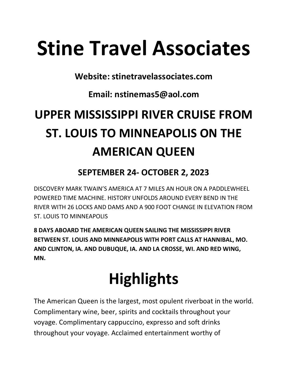# Stine Travel Associates

Website: stinetravelassociates.com

Email: nstinemas5@aol.com

## UPPER MISSISSIPPI RIVER CRUISE FROM ST. LOUIS TO MINNEAPOLIS ON THE AMERICAN QUEEN

### SEPTEMBER 24- OCTOBER 2, 2023

DISCOVERY MARK TWAIN'S AMERICA AT 7 MILES AN HOUR ON A PADDLEWHEEL POWERED TIME MACHINE. HISTORY UNFOLDS AROUND EVERY BEND IN THE RIVER WITH 26 LOCKS AND DAMS AND A 900 FOOT CHANGE IN ELEVATION FROM ST. LOUIS TO MINNEAPOLIS

8 DAYS ABOARD THE AMERICAN QUEEN SAILING THE MISSISSIPPI RIVER BETWEEN ST. LOUIS AND MINNEAPOLIS WITH PORT CALLS AT HANNIBAL, MO. AND CLINTON, IA. AND DUBUQUE, IA. AND LA CROSSE, WI. AND RED WING, MN.

## **Highlights**

The American Queen is the largest, most opulent riverboat in the world. Complimentary wine, beer, spirits and cocktails throughout your voyage. Complimentary cappuccino, expresso and soft drinks throughout your voyage. Acclaimed entertainment worthy of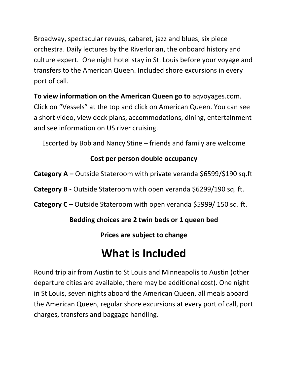Broadway, spectacular revues, cabaret, jazz and blues, six piece orchestra. Daily lectures by the Riverlorian, the onboard history and culture expert. One night hotel stay in St. Louis before your voyage and transfers to the American Queen. Included shore excursions in every port of call.

To view information on the American Queen go to aqvoyages.com. Click on "Vessels" at the top and click on American Queen. You can see a short video, view deck plans, accommodations, dining, entertainment and see information on US river cruising.

Escorted by Bob and Nancy Stine – friends and family are welcome

#### Cost per person double occupancy

**Category A** – Outside Stateroom with private veranda  $$6599$ / $$190$  sq.ft

Category B - Outside Stateroom with open veranda \$6299/190 sq. ft.

Category C – Outside Stateroom with open veranda \$5999/ 150 sq. ft.

#### Bedding choices are 2 twin beds or 1 queen bed

Prices are subject to change

### What is Included

Round trip air from Austin to St Louis and Minneapolis to Austin (other departure cities are available, there may be additional cost). One night in St Louis, seven nights aboard the American Queen, all meals aboard the American Queen, regular shore excursions at every port of call, port charges, transfers and baggage handling.